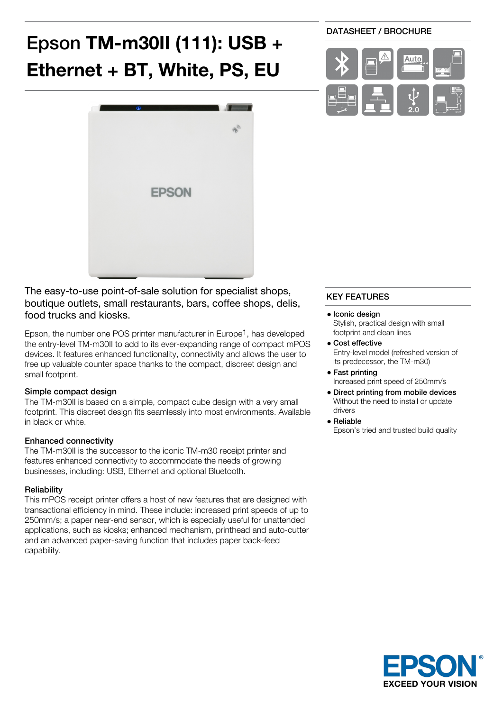# Epson **TM-m30II (111): USB + Ethernet + BT, White, PS, EU**



The easy-to-use point-of-sale solution for specialist shops, boutique outlets, small restaurants, bars, coffee shops, delis, food trucks and kiosks.

Epson, the number one POS printer manufacturer in Europe1, has developed the entry-level TM-m30II to add to its ever-expanding range of compact mPOS devices. It features enhanced functionality, connectivity and allows the user to free up valuable counter space thanks to the compact, discreet design and small footprint.

## Simple compact design

The TM-m30II is based on a simple, compact cube design with a very small footprint. This discreet design fits seamlessly into most environments. Available in black or white.

#### Enhanced connectivity

The TM-m30II is the successor to the iconic TM-m30 receipt printer and features enhanced connectivity to accommodate the needs of growing businesses, including: USB, Ethernet and optional Bluetooth.

#### **Reliability**

This mPOS receipt printer offers a host of new features that are designed with transactional efficiency in mind. These include: increased print speeds of up to 250mm/s; a paper near-end sensor, which is especially useful for unattended applications, such as kiosks; enhanced mechanism, printhead and auto-cutter and an advanced paper-saving function that includes paper back-feed capability.

## DATASHEET / BROCHURE



## KEY FEATURES

- Iconic design Stylish, practical design with small footprint and clean lines
- Cost effective Entry-level model (refreshed version of its predecessor, the TM-m30)
- Fast printing Increased print speed of 250mm/s
- Direct printing from mobile devices Without the need to install or update drivers
- Reliable

Epson's tried and trusted build quality